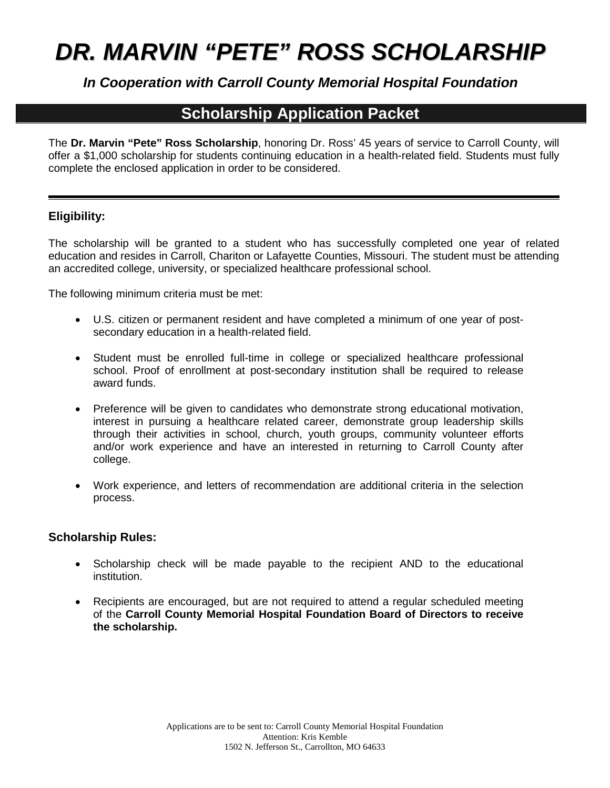# *DR. MARVIN "PETE" ROSS SCHOLARSHIP*

*In Cooperation with Carroll County Memorial Hospital Foundation*

# **Scholarship Application Packet**

The **Dr. Marvin "Pete" Ross Scholarship**, honoring Dr. Ross' 45 years of service to Carroll County, will offer a \$1,000 scholarship for students continuing education in a health-related field. Students must fully complete the enclosed application in order to be considered.

## **Eligibility:**

The scholarship will be granted to a student who has successfully completed one year of related education and resides in Carroll, Chariton or Lafayette Counties, Missouri. The student must be attending an accredited college, university, or specialized healthcare professional school.

The following minimum criteria must be met:

- U.S. citizen or permanent resident and have completed a minimum of one year of postsecondary education in a health-related field.
- Student must be enrolled full-time in college or specialized healthcare professional school. Proof of enrollment at post-secondary institution shall be required to release award funds.
- Preference will be given to candidates who demonstrate strong educational motivation, interest in pursuing a healthcare related career, demonstrate group leadership skills through their activities in school, church, youth groups, community volunteer efforts and/or work experience and have an interested in returning to Carroll County after college.
- Work experience, and letters of recommendation are additional criteria in the selection process.

## **Scholarship Rules:**

- Scholarship check will be made payable to the recipient AND to the educational institution.
- Recipients are encouraged, but are not required to attend a regular scheduled meeting of the **Carroll County Memorial Hospital Foundation Board of Directors to receive the scholarship.**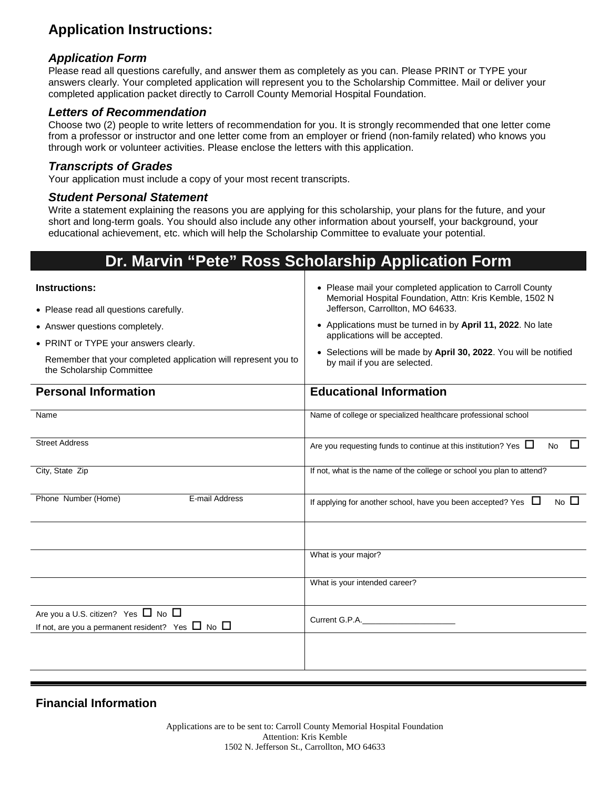# **Application Instructions:**

### *Application Form*

Please read all questions carefully, and answer them as completely as you can. Please PRINT or TYPE your answers clearly. Your completed application will represent you to the Scholarship Committee. Mail or deliver your completed application packet directly to Carroll County Memorial Hospital Foundation.

#### *Letters of Recommendation*

Choose two (2) people to write letters of recommendation for you. It is strongly recommended that one letter come from a professor or instructor and one letter come from an employer or friend (non-family related) who knows you through work or volunteer activities. Please enclose the letters with this application.

#### *Transcripts of Grades*

Your application must include a copy of your most recent transcripts.

#### *Student Personal Statement*

Write a statement explaining the reasons you are applying for this scholarship, your plans for the future, and your short and long-term goals. You should also include any other information about yourself, your background, your educational achievement, etc. which will help the Scholarship Committee to evaluate your potential.

# **Dr. Marvin "Pete" Ross Scholarship Application Form**

| <b>Instructions:</b><br>• Please read all questions carefully.<br>• Answer questions completely.<br>• PRINT or TYPE your answers clearly.<br>Remember that your completed application will represent you to<br>the Scholarship Committee<br><b>Personal Information</b> | • Please mail your completed application to Carroll County<br>Memorial Hospital Foundation, Attn: Kris Kemble, 1502 N<br>Jefferson, Carrollton, MO 64633.<br>• Applications must be turned in by April 11, 2022. No late<br>applications will be accepted.<br>• Selections will be made by April 30, 2022. You will be notified<br>by mail if you are selected.<br><b>Educational Information</b> |  |  |
|-------------------------------------------------------------------------------------------------------------------------------------------------------------------------------------------------------------------------------------------------------------------------|---------------------------------------------------------------------------------------------------------------------------------------------------------------------------------------------------------------------------------------------------------------------------------------------------------------------------------------------------------------------------------------------------|--|--|
|                                                                                                                                                                                                                                                                         |                                                                                                                                                                                                                                                                                                                                                                                                   |  |  |
| Name                                                                                                                                                                                                                                                                    | Name of college or specialized healthcare professional school                                                                                                                                                                                                                                                                                                                                     |  |  |
| <b>Street Address</b>                                                                                                                                                                                                                                                   | П<br>Are you requesting funds to continue at this institution? Yes $\Box$<br><b>No</b>                                                                                                                                                                                                                                                                                                            |  |  |
| City, State Zip                                                                                                                                                                                                                                                         | If not, what is the name of the college or school you plan to attend?                                                                                                                                                                                                                                                                                                                             |  |  |
| Phone Number (Home)<br>E-mail Address                                                                                                                                                                                                                                   | No $\Box$<br>If applying for another school, have you been accepted? Yes $\Box$                                                                                                                                                                                                                                                                                                                   |  |  |
|                                                                                                                                                                                                                                                                         | What is your major?                                                                                                                                                                                                                                                                                                                                                                               |  |  |
|                                                                                                                                                                                                                                                                         | What is your intended career?                                                                                                                                                                                                                                                                                                                                                                     |  |  |
| Are you a U.S. citizen? Yes $\Box$ No $\Box$<br>If not, are you a permanent resident? Yes $\Box$ No $\Box$                                                                                                                                                              | Current G.P.A.                                                                                                                                                                                                                                                                                                                                                                                    |  |  |
|                                                                                                                                                                                                                                                                         |                                                                                                                                                                                                                                                                                                                                                                                                   |  |  |

**Financial Information**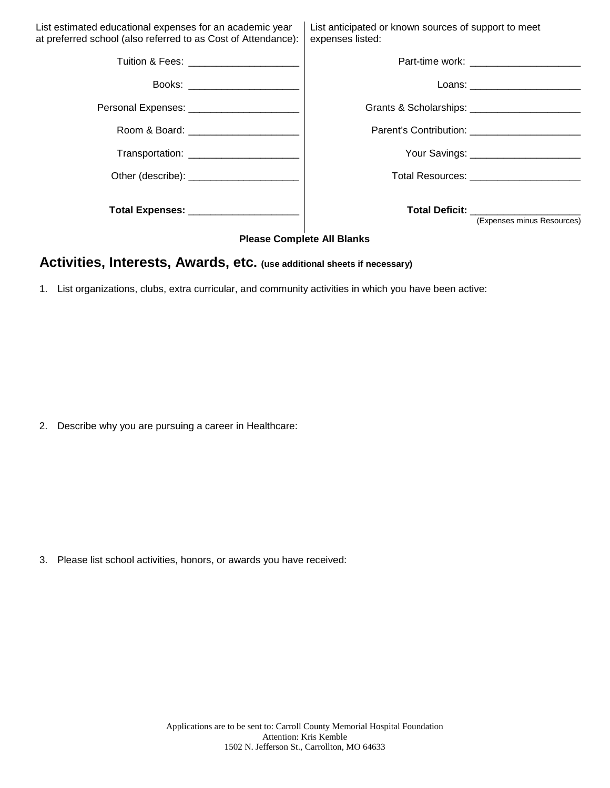| List estimated educational expenses for an academic year<br>at preferred school (also referred to as Cost of Attendance): | List anticipated or known sources of support to meet<br>expenses listed: |
|---------------------------------------------------------------------------------------------------------------------------|--------------------------------------------------------------------------|
|                                                                                                                           | Part-time work: ________________________                                 |
| Books: ________________________                                                                                           | Loans: ________________________                                          |
| Personal Expenses: _______________________                                                                                | Grants & Scholarships: _______________________                           |
| Room & Board: _______________________                                                                                     | Parent's Contribution: ______________________                            |
| Transportation: ________________________                                                                                  | Your Savings: _______________________                                    |
|                                                                                                                           | Total Resources: _______________________                                 |
|                                                                                                                           | <b>Total Deficit:</b> Total Deficit:<br>(Expenses minus Resources)       |

#### **Please Complete All Blanks**

## **Activities, Interests, Awards, etc. (use additional sheets if necessary)**

1. List organizations, clubs, extra curricular, and community activities in which you have been active:

2. Describe why you are pursuing a career in Healthcare:

3. Please list school activities, honors, or awards you have received: